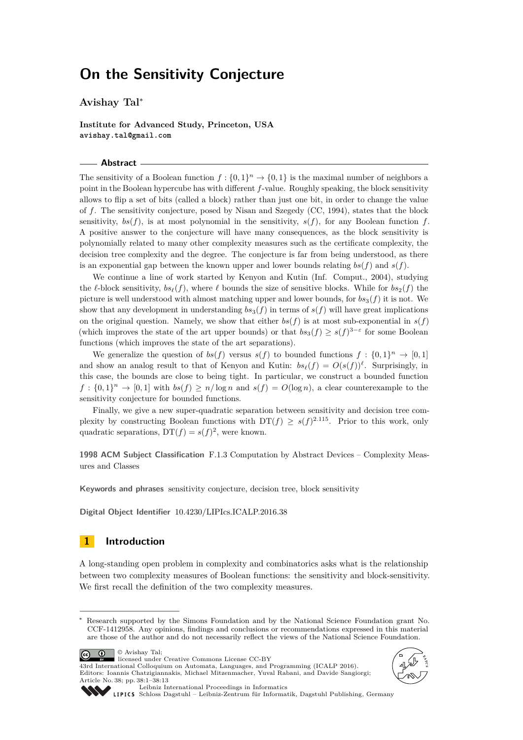## **On the Sensitivity Conjecture**

**Avishay Tal**<sup>∗</sup>

**Institute for Advanced Study, Princeton, USA avishay.tal@gmail.com**

#### **Abstract**

The sensitivity of a Boolean function  $f: \{0,1\}^n \to \{0,1\}$  is the maximal number of neighbors a point in the Boolean hypercube has with different *f*-value. Roughly speaking, the block sensitivity allows to flip a set of bits (called a block) rather than just one bit, in order to change the value of *f*. The sensitivity conjecture, posed by Nisan and Szegedy (CC, 1994), states that the block sensitivity,  $bs(f)$ , is at most polynomial in the sensitivity,  $s(f)$ , for any Boolean function  $f$ . A positive answer to the conjecture will have many consequences, as the block sensitivity is polynomially related to many other complexity measures such as the certificate complexity, the decision tree complexity and the degree. The conjecture is far from being understood, as there is an exponential gap between the known upper and lower bounds relating *bs*(*f*) and *s*(*f*).

We continue a line of work started by Kenyon and Kutin (Inf. Comput., 2004), studying the *l*-block sensitivity,  $bs_\ell(f)$ , where *l* bounds the size of sensitive blocks. While for  $bs_2(f)$  the picture is well understood with almost matching upper and lower bounds, for  $bs_3(f)$  it is not. We show that any development in understanding  $bs_3(f)$  in terms of  $s(f)$  will have great implications on the original question. Namely, we show that either  $bs(f)$  is at most sub-exponential in  $s(f)$ (which improves the state of the art upper bounds) or that  $bs_3(f) \geq s(f)^{3-\epsilon}$  for some Boolean functions (which improves the state of the art separations).

We generalize the question of  $bs(f)$  versus  $s(f)$  to bounded functions  $f: \{0,1\}^n \to [0,1]$ and show an analog result to that of Kenyon and Kutin:  $bs_{\ell}(f) = O(s(f))^{\ell}$ . Surprisingly, in this case, the bounds are close to being tight. In particular, we construct a bounded function  $f: \{0,1\}^n \to [0,1]$  with  $bs(f) \geq n/\log n$  and  $s(f) = O(\log n)$ , a clear counterexample to the sensitivity conjecture for bounded functions.

Finally, we give a new super-quadratic separation between sensitivity and decision tree complexity by constructing Boolean functions with  $DT(f) \geq s(f)^{2.115}$ . Prior to this work, only quadratic separations,  $DT(f) = s(f)^2$ , were known.

**1998 ACM Subject Classification** F.1.3 Computation by Abstract Devices – Complexity Measures and Classes

**Keywords and phrases** sensitivity conjecture, decision tree, block sensitivity

**Digital Object Identifier** [10.4230/LIPIcs.ICALP.2016.38](http://dx.doi.org/10.4230/LIPIcs.ICALP.2016.38)

## **1 Introduction**

A long-standing open problem in complexity and combinatorics asks what is the relationship between two complexity measures of Boolean functions: the sensitivity and block-sensitivity. We first recall the definition of the two complexity measures.

 $\boxed{6}$ © Avishay Tal; licensed under Creative Commons License CC-BY





[Leibniz International Proceedings in Informatics](http://www.dagstuhl.de/lipics/)

43rd International Colloquium on Automata, Languages, and Programming (ICALP 2016). Editors: Ioannis Chatzigiannakis, Michael Mitzenmacher, Yuval Rabani, and Davide Sangiorgi;

[Schloss Dagstuhl – Leibniz-Zentrum für Informatik, Dagstuhl Publishing, Germany](http://www.dagstuhl.de)

Research supported by the Simons Foundation and by the National Science Foundation grant No. CCF-1412958. Any opinions, findings and conclusions or recommendations expressed in this material are those of the author and do not necessarily reflect the views of the National Science Foundation.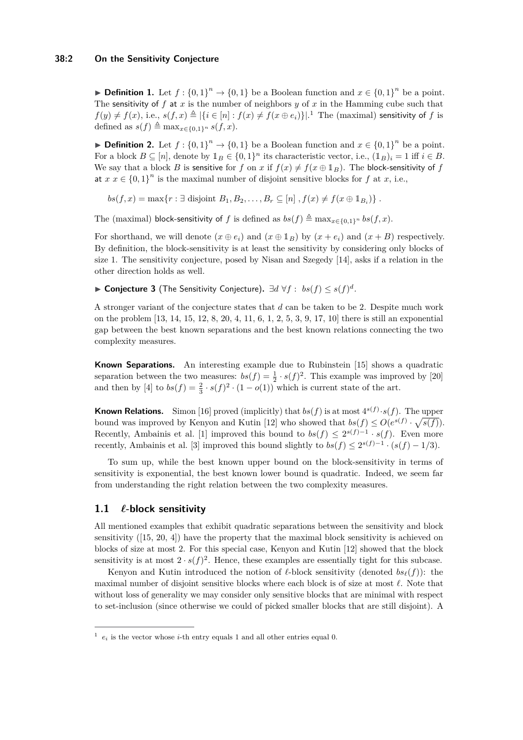**► Definition 1.** Let  $f: \{0,1\}^n \to \{0,1\}$  be a Boolean function and  $x \in \{0,1\}^n$  be a point. The sensitivity of f at x is the number of neighbors  $y$  of x in the Hamming cube such that  $f(y) \neq f(x)$ , i.e.,  $s(f, x) \triangleq |\{i \in [n]: f(x) \neq f(x \oplus e_i)\}|$ .<sup>[1](#page-1-0)</sup> The (maximal) sensitivity of *f* is defined as  $s(f) \triangleq \max_{x \in \{0,1\}^n} s(f, x)$ .

**► Definition 2.** Let  $f: \{0,1\}^n \to \{0,1\}$  be a Boolean function and  $x \in \{0,1\}^n$  be a point. For a block  $B \subseteq [n]$ , denote by  $\mathbb{1}_B \in \{0,1\}^n$  its characteristic vector, i.e.,  $(\mathbb{1}_B)_i = 1$  iff  $i \in B$ . We say that a block *B* is sensitive for *f* on *x* if  $f(x) \neq f(x \oplus \mathbb{1}_B)$ . The block-sensitivity of *f* at  $x \in \{0,1\}^n$  is the maximal number of disjoint sensitive blocks for  $f$  at  $x$ , i.e.,

 $bs(f, x) = \max\{r : \exists \text{ disjoint } B_1, B_2, \dots, B_r \subseteq [n], f(x) \neq f(x \oplus 1_{B_i})\}$ .

The (maximal) block-sensitivity of *f* is defined as  $bs(f) \triangleq \max_{x \in \{0,1\}^n} bs(f, x)$ .

For shorthand, we will denote  $(x \oplus e_i)$  and  $(x \oplus 1_B)$  by  $(x + e_i)$  and  $(x + B)$  respectively. By definition, the block-sensitivity is at least the sensitivity by considering only blocks of size 1. The sensitivity conjecture, posed by Nisan and Szegedy [\[14\]](#page-11-0), asks if a relation in the other direction holds as well.

I **Conjecture 3** (The Sensitivity Conjecture)**.** ∃*d* ∀*f* : *bs*(*f*) ≤ *s*(*f*) *d .*

A stronger variant of the conjecture states that *d* can be taken to be 2. Despite much work on the problem [\[13,](#page-11-1) [14,](#page-11-0) [15,](#page-11-2) [12,](#page-11-3) [8,](#page-11-4) [20,](#page-11-5) [4,](#page-11-6) [11,](#page-11-7) [6,](#page-11-8) [1,](#page-11-9) [2,](#page-11-10) [5,](#page-11-11) [3,](#page-11-12) [9,](#page-11-13) [17,](#page-11-14) [10\]](#page-11-15) there is still an exponential gap between the best known separations and the best known relations connecting the two complexity measures.

**Known Separations.** An interesting example due to Rubinstein [\[15\]](#page-11-2) shows a quadratic separation between the two measures:  $bs(f) = \frac{1}{2} \cdot s(f)^2$ . This example was improved by [\[20\]](#page-11-5) and then by [\[4\]](#page-11-6) to  $bs(f) = \frac{2}{3} \cdot s(f)^2 \cdot (1 - o(1))$  which is current state of the art.

**Known Relations.** Simon [\[16\]](#page-11-16) proved (implicitly) that  $bs(f)$  is at most  $4^{s(f)} \cdot s(f)$ . The upper bound was improved by Kenyon and Kutin [\[12\]](#page-11-3) who showed that  $bs(f) \le O(e^{s(f)} \cdot \sqrt{s(f)})$ . Recently, Ambainis et al. [\[1\]](#page-11-9) improved this bound to  $bs(f) \leq 2^{s(f)-1} \cdot s(f)$ . Even more recently, Ambainis et al. [\[3\]](#page-11-12) improved this bound slightly to  $bs(f) \leq 2^{s(f)-1} \cdot (s(f)-1/3)$ .

To sum up, while the best known upper bound on the block-sensitivity in terms of sensitivity is exponential, the best known lower bound is quadratic. Indeed, we seem far from understanding the right relation between the two complexity measures.

## **1.1** *`***-block sensitivity**

All mentioned examples that exhibit quadratic separations between the sensitivity and block sensitivity ([\[15,](#page-11-2) [20,](#page-11-5) [4\]](#page-11-6)) have the property that the maximal block sensitivity is achieved on blocks of size at most 2. For this special case, Kenyon and Kutin [\[12\]](#page-11-3) showed that the block sensitivity is at most  $2 \cdot s(f)^2$ . Hence, these examples are essentially tight for this subcase.

Kenyon and Kutin introduced the notion of  $\ell$ -block sensitivity (denoted  $bs_{\ell}(f)$ ): the maximal number of disjoint sensitive blocks where each block is of size at most  $\ell$ . Note that without loss of generality we may consider only sensitive blocks that are minimal with respect to set-inclusion (since otherwise we could of picked smaller blocks that are still disjoint). A

<span id="page-1-0"></span> $^1$   $e_i$  is the vector whose *i*-th entry equals 1 and all other entries equal 0.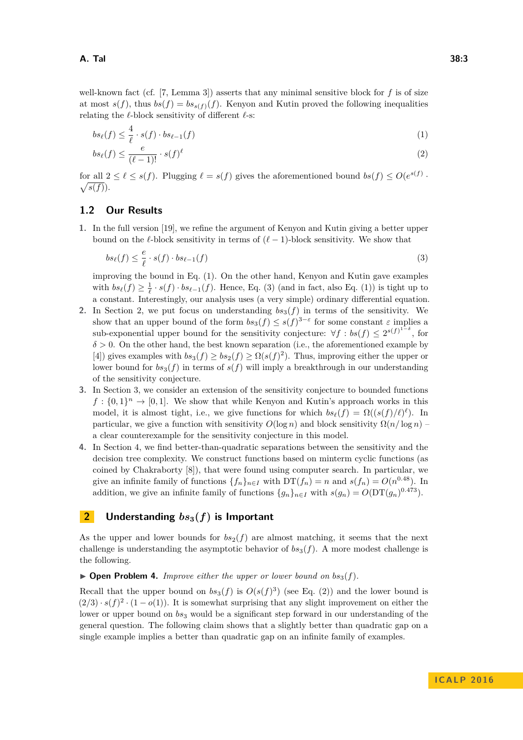well-known fact (cf. [\[7,](#page-11-17) Lemma 3]) asserts that any minimal sensitive block for *f* is of size at most  $s(f)$ , thus  $bs(f) = bs_{s(f)}(f)$ . Kenyon and Kutin proved the following inequalities relating the  $\ell$ -block sensitivity of different  $\ell$ -s:

<span id="page-2-0"></span>
$$
bs_{\ell}(f) \leq \frac{4}{\ell} \cdot s(f) \cdot bs_{\ell-1}(f) \tag{1}
$$

<span id="page-2-3"></span>
$$
bs_{\ell}(f) \le \frac{e}{(\ell-1)!} \cdot s(f)^{\ell} \tag{2}
$$

for all  $2 \leq \ell \leq s(f)$ . Plugging  $\ell = s(f)$  gives the aforementioned bound  $bs(f) \leq O(e^{s(f)} \cdot \sqrt{s(f)})$ .  $\sqrt{s(f)}$ ).

## **1.2 Our Results**

**1.** In the full version [\[19\]](#page-11-18), we refine the argument of Kenyon and Kutin giving a better upper bound on the  $\ell$ -block sensitivity in terms of  $(\ell - 1)$ -block sensitivity. We show that

<span id="page-2-1"></span>
$$
bs_{\ell}(f) \leq \frac{e}{\ell} \cdot s(f) \cdot bs_{\ell-1}(f) \tag{3}
$$

improving the bound in Eq. [\(1\)](#page-2-0). On the other hand, Kenyon and Kutin gave examples with  $bs_{\ell}(f) \geq \frac{1}{\ell} \cdot s(f) \cdot bs_{\ell-1}(f)$ . Hence, Eq. [\(3\)](#page-2-1) (and in fact, also Eq. [\(1\)](#page-2-0)) is tight up to a constant. Interestingly, our analysis uses (a very simple) ordinary differential equation.

- **2.** In Section [2,](#page-2-2) we put focus on understanding  $bs_3(f)$  in terms of the sensitivity. We show that an upper bound of the form  $bs_3(f) \leq s(f)^{3-\varepsilon}$  for some constant  $\varepsilon$  implies a sub-exponential upper bound for the sensitivity conjecture:  $\forall f : bs(f) \leq 2^{s(f)^{1-\delta}}$ , for  $\delta$  > 0. On the other hand, the best known separation (i.e., the aforementioned example by [\[4\]](#page-11-6)) gives examples with  $bs_3(f) \ge bs_2(f) \ge \Omega(s(f)^2)$ . Thus, improving either the upper or lower bound for  $bs_3(f)$  in terms of  $s(f)$  will imply a breakthrough in our understanding of the sensitivity conjecture.
- **3.** In Section [3,](#page-3-0) we consider an extension of the sensitivity conjecture to bounded functions  $f: \{0,1\}^n \to [0,1]$ . We show that while Kenyon and Kutin's approach works in this model, it is almost tight, i.e., we give functions for which  $bs_{\ell}(f) = \Omega((s(f)/\ell)^{\ell})$ . In particular, we give a function with sensitivity  $O(\log n)$  and block sensitivity  $\Omega(n/\log n)$  – a clear counterexample for the sensitivity conjecture in this model.
- **4.** In Section [4,](#page-9-0) we find better-than-quadratic separations between the sensitivity and the decision tree complexity. We construct functions based on minterm cyclic functions (as coined by Chakraborty [\[8\]](#page-11-4)), that were found using computer search. In particular, we give an infinite family of functions  $\{f_n\}_{n\in I}$  with  $DT(f_n) = n$  and  $s(f_n) = O(n^{0.48})$ . In addition, we give an infinite family of functions  ${g_n}_{n \in I}$  with  $s(g_n) = O(\text{DT}(g_n)^{0.473})$ .

## <span id="page-2-2"></span>**2 Understanding**  $bs_3(f)$  is Important

As the upper and lower bounds for  $bs_2(f)$  are almost matching, it seems that the next challenge is understanding the asymptotic behavior of  $bs_3(f)$ . A more modest challenge is the following.

 $\triangleright$  **Open Problem 4.** *Improve either the upper or lower bound on bs*<sub>3</sub>(*f*).

Recall that the upper bound on  $bs_3(f)$  is  $O(s(f)^3)$  (see Eq. [\(2\)](#page-2-3)) and the lower bound is  $(2/3) \cdot s(f)^2 \cdot (1 - o(1))$ . It is somewhat surprising that any slight improvement on either the lower or upper bound on  $bs_3$  would be a significant step forward in our understanding of the general question. The following claim shows that a slightly better than quadratic gap on a single example implies a better than quadratic gap on an infinite family of examples.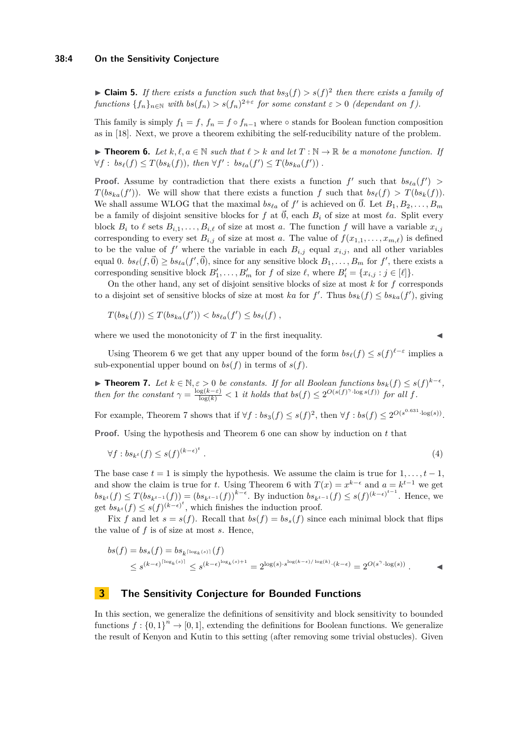#### **38:4 On the Sensitivity Conjecture**

**Claim 5.** *If there exists a function such that*  $bs_3(f) > s(f)^2$  *then there exists a family of functions*  $\{f_n\}_{n\in\mathbb{N}}$  *with*  $bs(f_n) > s(f_n)^{2+\varepsilon}$  *for some constant*  $\varepsilon > 0$  *(dependant on f).* 

This family is simply  $f_1 = f$ ,  $f_n = f \circ f_{n-1}$  where  $\circ$  stands for Boolean function composition as in [\[18\]](#page-11-19). Next, we prove a theorem exhibiting the self-reducibility nature of the problem.

<span id="page-3-1"></span>**► Theorem 6.** Let  $k, \ell, a \in \mathbb{N}$  such that  $\ell > k$  and let  $T : \mathbb{N} \to \mathbb{R}$  be a monotone function. If  $\forall f : bs_{\ell}(f) \leq T(b s_k(f)), \text{ then } \forall f' : bs_{\ell a}(f') \leq T(b s_{k a}(f')).$ 

**Proof.** Assume by contradiction that there exists a function  $f'$  such that  $bs_{\ell a}(f') >$ *T*(*bs*<sub>*ka*</sub>(*f*')). We will show that there exists a function *f* such that  $bs_{\ell}(f) > T(bs_{k}(f))$ . We shall assume WLOG that the maximal  $bs_{\ell a}$  of  $f'$  is achieved on  $\vec{0}$ . Let  $B_1, B_2, \ldots, B_m$ be a family of disjoint sensitive blocks for  $f$  at  $\vec{0}$ , each  $B_i$  of size at most  $\ell a$ . Split every block  $B_i$  to  $\ell$  sets  $B_{i,1}, \ldots, B_{i,\ell}$  of size at most *a*. The function *f* will have a variable  $x_{i,j}$ corresponding to every set  $B_{i,j}$  of size at most *a*. The value of  $f(x_{1,1},...,x_{m,\ell})$  is defined to be the value of  $f'$  where the variable in each  $B_{i,j}$  equal  $x_{i,j}$ , and all other variables equal 0.  $bs_{\ell}(f,\vec{0}) \geq bs_{\ell a}(f',\vec{0}),$  since for any sensitive block  $B_1, \ldots, B_m$  for  $f'$ , there exists a corresponding sensitive block  $B'_1, \ldots, B'_m$  for *f* of size  $\ell$ , where  $B'_i = \{x_{i,j} : j \in [\ell]\}.$ 

On the other hand, any set of disjoint sensitive blocks of size at most *k* for *f* corresponds to a disjoint set of sensitive blocks of size at most *ka* for  $f'$ . Thus  $bs_k(f) \leq bs_{ka}(f')$ , giving

$$
T(b s_k(f)) \leq T(b s_{ka}(f')) < b s_{\ell a}(f') \leq b s_{\ell}(f) ,
$$

where we used the monotonicity of  $T$  in the first inequality.

Using Theorem [6](#page-3-1) we get that any upper bound of the form  $bs_{\ell}(f) \leq s(f)^{\ell-\varepsilon}$  implies a sub-exponential upper bound on  $bs(f)$  in terms of  $s(f)$ .

<span id="page-3-2"></span>**► Theorem 7.** Let  $k \in \mathbb{N}, \varepsilon > 0$  be constants. If for all Boolean functions  $bs_k(f) \leq s(f)^{k-\epsilon}$ , then for the constant  $\gamma = \frac{\log(k-\varepsilon)}{\log(k)} < 1$  it holds that  $bs(f) \leq 2^{O(s(f)^{\gamma} \cdot \log s(f))}$  for all f.

For example, Theorem [7](#page-3-2) shows that if  $\forall f : bs_3(f) \leq s(f)^2$ , then  $\forall f : bs(f) \leq 2^{O(s^{0.631} \cdot \log(s))}$ .

**Proof.** Using the hypothesis and Theorem [6](#page-3-1) one can show by induction on *t* that

$$
\forall f: bs_{k^t}(f) \le s(f)^{(k-\epsilon)^t} \tag{4}
$$

The base case  $t = 1$  is simply the hypothesis. We assume the claim is true for  $1, \ldots, t-1$ , and show the claim is true for *t*. Using Theorem [6](#page-3-1) with  $T(x) = x^{k-\epsilon}$  and  $a = k^{t-1}$  we get  $bs_{k}(f) \leq T(bs_{k^{t-1}}(f)) = (bs_{k^{t-1}}(f))^{k-\epsilon}$ . By induction  $bs_{k^{t-1}}(f) \leq s(f)^{(k-\epsilon)^{t-1}}$ . Hence, we get  $bs_{k^t}(f) \leq s(f)^{(k-\epsilon)^t}$ , which finishes the induction proof.

Fix *f* and let  $s = s(f)$ . Recall that  $bs(f) = bs_s(f)$  since each minimal block that flips the value of *f* is of size at most *s*. Hence,

$$
bs(f) = bs_s(f) = bs_{k^{\lceil \log_k(s) \rceil}}(f)
$$
  

$$
\leq s^{(k-\epsilon)^{\lceil \log_k(s) \rceil}} \leq s^{(k-\epsilon)^{\log_k(s)+1}} = 2^{\log(s) \cdot s^{\log(k-\epsilon)/\log(k)} \cdot (k-\epsilon)} = 2^{O(s^{\gamma} \cdot \log(s))}.
$$

## <span id="page-3-0"></span>**3 The Sensitivity Conjecture for Bounded Functions**

In this section, we generalize the definitions of sensitivity and block sensitivity to bounded functions  $f: \{0,1\}^n \to [0,1]$ , extending the definitions for Boolean functions. We generalize the result of Kenyon and Kutin to this setting (after removing some trivial obstucles). Given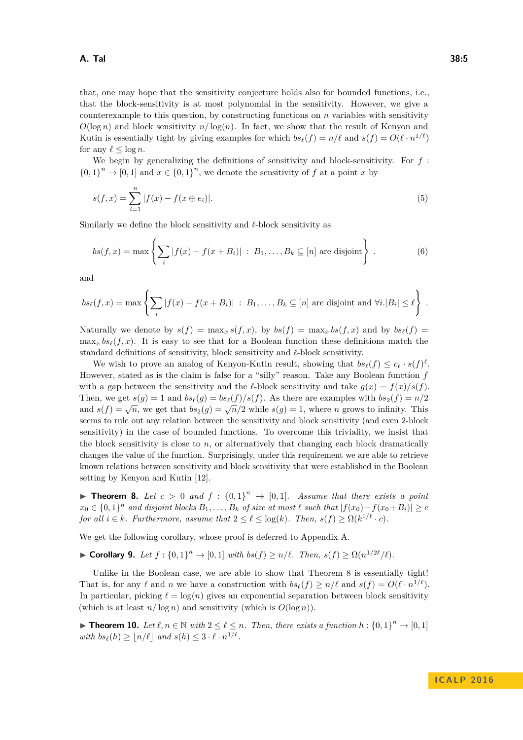that, one may hope that the sensitivity conjecture holds also for bounded functions, i.e., that the block-sensitivity is at most polynomial in the sensitivity. However, we give a counterexample to this question, by constructing functions on *n* variables with sensitivity  $O(\log n)$  and block sensitivity  $n/\log(n)$ . In fact, we show that the result of Kenyon and Kutin is essentially tight by giving examples for which  $bs_{\ell}(f) = n/\ell$  and  $s(f) = O(\ell \cdot n^{1/\ell})$ for any  $\ell < \log n$ .

We begin by generalizing the definitions of sensitivity and block-sensitivity. For *f* :  ${0, 1}^n \to [0, 1]$  and  $x \in {0, 1}^n$ , we denote the sensitivity of *f* at a point *x* by

<span id="page-4-1"></span>
$$
s(f, x) = \sum_{i=1}^{n} |f(x) - f(x \oplus e_i)|.
$$
 (5)

Similarly we define the block sensitivity and  $\ell$ -block sensitivity as

$$
bs(f, x) = \max \left\{ \sum_{i} |f(x) - f(x + B_i)| : B_1, \dots, B_k \subseteq [n] \text{ are disjoint} \right\}.
$$
 (6)

and

$$
bs_{\ell}(f,x) = \max \left\{ \sum_i |f(x) - f(x + B_i)| : B_1, \ldots, B_k \subseteq [n] \text{ are disjoint and } \forall i . |B_i| \le \ell \right\}.
$$

Naturally we denote by  $s(f) = \max_x s(f, x)$ , by  $bs(f) = \max_x bs(f, x)$  and by  $bs_\ell(f) =$  $\max_x bs_\ell(f, x)$ . It is easy to see that for a Boolean function these definitions match the standard definitions of sensitivity, block sensitivity and *`*-block sensitivity.

We wish to prove an analog of Kenyon-Kutin result, showing that  $bs_{\ell}(f) \leq c_{\ell} \cdot s(f)^{\ell}$ . However, stated as is the claim is false for a "silly" reason. Take any Boolean function *f* with a gap between the sensitivity and the *l*-block sensitivity and take  $g(x) = f(x)/s(f)$ . Then, we get  $s(g) = 1$  and  $bs_{\ell}(g) = bs_{\ell}(f)/s(f)$ . As there are examples with  $bs_2(f) = n/2$ and  $s(f) = \sqrt{n}$ , we get that  $bs_2(g) = \sqrt{n}/2$  while  $s(g) = 1$ , where *n* grows to infinity. This seems to rule out any relation between the sensitivity and block sensitivity (and even 2-block sensitivity) in the case of bounded functions. To overcome this triviality, we insist that the block sensitivity is close to *n*, or alternatively that changing each block dramatically changes the value of the function. Surprisingly, under this requirement we are able to retrieve known relations between sensitivity and block sensitivity that were established in the Boolean setting by Kenyon and Kutin [\[12\]](#page-11-3).

<span id="page-4-0"></span>**Theorem 8.** Let  $c > 0$  and  $f : \{0,1\}^n \rightarrow [0,1]$ . Assume that there exists a point *x*<sub>0</sub> ∈ {0, 1}<sup>*n*</sup> and disjoint blocks  $B_1, \ldots, B_k$  *of size at most*  $\ell$  *such that*  $|f(x_0) - f(x_0 + B_i)| \ge c$ *for all*  $i \in k$ *. Furthermore, assume that*  $2 \leq \ell \leq \log(k)$ *. Then,*  $s(f) \geq \Omega(k^{1/\ell} \cdot c)$ *.* 

We get the following corollary, whose proof is deferred to Appendix [A.](#page-12-1)

<span id="page-4-3"></span>► **Corollary 9.** Let  $f: \{0,1\}^n \to [0,1]$  *with*  $bs(f) \geq n/\ell$ . Then,  $s(f) \geq \Omega(n^{1/2\ell}/\ell)$ .

Unlike in the Boolean case, we are able to show that Theorem [8](#page-4-0) is essentially tight! That is, for any  $\ell$  and *n* we have a construction with  $bs_{\ell}(f) \geq n/\ell$  and  $s(f) = O(\ell \cdot n^{1/\ell}).$ In particular, picking  $\ell = \log(n)$  gives an exponential separation between block sensitivity (which is at least  $n/\log n$ ) and sensitivity (which is  $O(\log n)$ ).

<span id="page-4-2"></span>▶ **Theorem 10.** *Let*  $\ell, n \in \mathbb{N}$  *with*  $2 \leq \ell \leq n$ *. Then, there exists a function*  $h: \{0, 1\}^n \to [0, 1]$ *with*  $bs_{\ell}(h) \geq \lfloor n/\ell \rfloor$  *and*  $s(h) \leq 3 \cdot \ell \cdot n^{1/\ell}$ .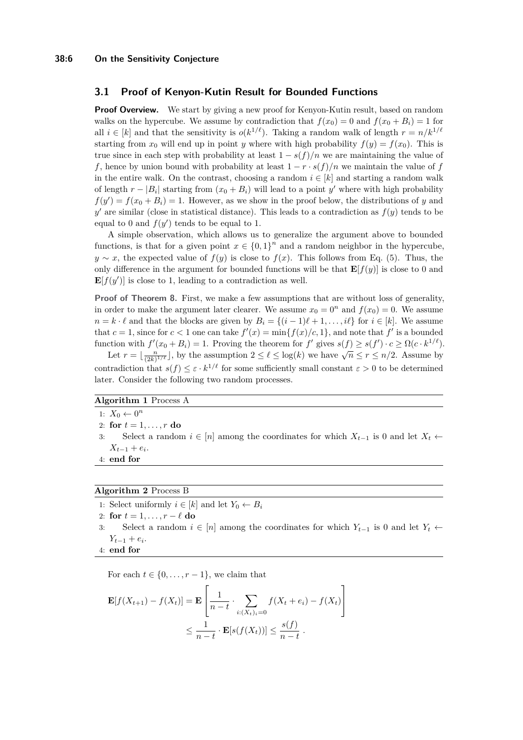## **3.1 Proof of Kenyon-Kutin Result for Bounded Functions**

**Proof Overview.** We start by giving a new proof for Kenyon-Kutin result, based on random walks on the hypercube. We assume by contradiction that  $f(x_0) = 0$  and  $f(x_0 + B_i) = 1$  for all  $i \in [k]$  and that the sensitivity is  $o(k^{1/\ell})$ . Taking a random walk of length  $r = n/k^{1/\ell}$ starting from  $x_0$  will end up in point *y* where with high probability  $f(y) = f(x_0)$ . This is true since in each step with probability at least  $1 - s(f)/n$  we are maintaining the value of *f*, hence by union bound with probability at least  $1 - r \cdot s(f)/n$  we maintain the value of *f* in the entire walk. On the contrast, choosing a random  $i \in [k]$  and starting a random walk of length  $r - |B_i|$  starting from  $(x_0 + B_i)$  will lead to a point y' where with high probability  $f(y') = f(x_0 + B_i) = 1$ . However, as we show in the proof below, the distributions of *y* and  $y'$  are similar (close in statistical distance). This leads to a contradiction as  $f(y)$  tends to be equal to 0 and  $f(y')$  tends to be equal to 1.

A simple observation, which allows us to generalize the argument above to bounded functions, is that for a given point  $x \in \{0,1\}^n$  and a random neighbor in the hypercube, *y* ∼ *x*, the expected value of  $f(y)$  is close to  $f(x)$ . This follows from Eq. [\(5\)](#page-4-1). Thus, the only difference in the argument for bounded functions will be that  $\mathbf{E}[f(y)]$  is close to 0 and  $\mathbf{E}[f(y')]$  is close to 1, leading to a contradiction as well.

**Proof of Theorem [8.](#page-4-0)** First, we make a few assumptions that are without loss of generality, in order to make the argument later clearer. We assume  $x_0 = 0^n$  and  $f(x_0) = 0$ . We assume *n* = *k* ⋅  $\ell$  and that the blocks are given by  $B_i = \{(i-1)\ell + 1, \ldots, i\ell\}$  for  $i \in [k]$ . We assume that  $c = 1$ , since for  $c < 1$  one can take  $f'(x) = \min\{f(x)/c, 1\}$ , and note that f' is a bounded function with  $f'(x_0 + B_i) = 1$ . Proving the theorem for  $f'$  gives  $s(f) \geq s(f') \cdot c \geq \Omega(c \cdot k^{1/\ell})$ .

Let  $r = \lfloor \frac{n}{(2k)^{1/\ell}} \rfloor$ , by the assumption  $2 \leq \ell \leq \log(k)$  we have  $\sqrt{n} \leq r \leq n/2$ . Assume by contradiction that  $s(f) \leq \varepsilon \cdot k^{1/\ell}$  for some sufficiently small constant  $\varepsilon > 0$  to be determined later. Consider the following two random processes.

## **Algorithm 1** Process A

- 1:  $X_0 \leftarrow 0^n$
- 2: **for**  $t = 1, ..., r$  **do**
- 3: Select a random  $i \in [n]$  among the coordinates for which  $X_{t-1}$  is 0 and let  $X_t$  ←  $X_{t-1} + e_i$
- 4: **end for**

#### **Algorithm 2** Process B

1: Select uniformly  $i \in [k]$  and let  $Y_0 \leftarrow B_i$ 

- 2: **for**  $t = 1, \ldots, r \ell$  **do**
- 3: Select a random  $i \in [n]$  among the coordinates for which  $Y_{t-1}$  is 0 and let  $Y_t$  ←  $Y_{t-1} + e_i$ .
- 4: **end for**

For each  $t \in \{0, \ldots, r-1\}$ , we claim that

$$
\mathbf{E}[f(X_{t+1}) - f(X_t)] = \mathbf{E}\left[\frac{1}{n-t} \cdot \sum_{i:(X_t)_i=0} f(X_t + e_i) - f(X_t)\right]
$$
  

$$
\leq \frac{1}{n-t} \cdot \mathbf{E}[s(f(X_t))] \leq \frac{s(f)}{n-t}.
$$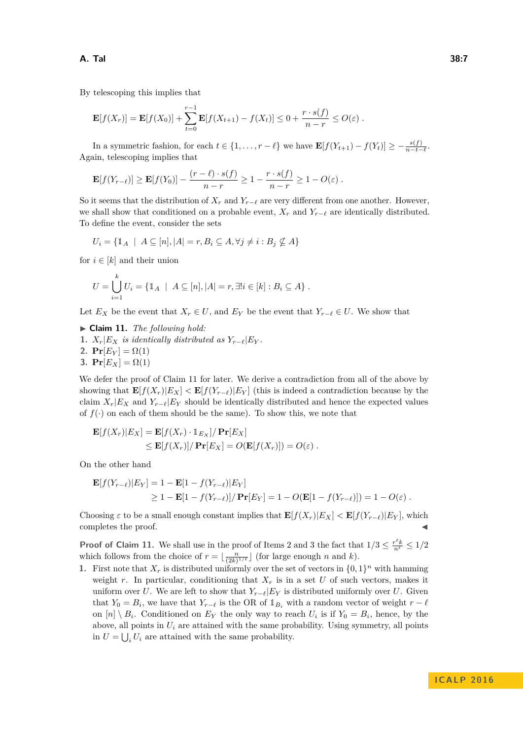By telescoping this implies that

$$
\mathbf{E}[f(X_r)] = \mathbf{E}[f(X_0)] + \sum_{t=0}^{r-1} \mathbf{E}[f(X_{t+1}) - f(X_t)] \leq 0 + \frac{r \cdot s(f)}{n-r} \leq O(\varepsilon) .
$$

In a symmetric fashion, for each  $t \in \{1, \ldots, r - \ell\}$  we have  $\mathbf{E}[f(Y_{t+1}) - f(Y_t)] \geq -\frac{s(f)}{n-t-\ell}$ . Again, telescoping implies that

$$
\mathbf{E}[f(Y_{r-\ell})] \geq \mathbf{E}[f(Y_0)] - \frac{(r-\ell) \cdot s(f)}{n-r} \geq 1 - \frac{r \cdot s(f)}{n-r} \geq 1 - O(\varepsilon).
$$

So it seems that the distribution of  $X_r$  and  $Y_{r-\ell}$  are very different from one another. However, we shall show that conditioned on a probable event,  $X_r$  and  $Y_{r-\ell}$  are identically distributed. To define the event, consider the sets

$$
U_i = \{ \mathbb{1}_A \mid A \subseteq [n], |A| = r, B_i \subseteq A, \forall j \neq i : B_j \nsubseteq A \}
$$

for  $i \in [k]$  and their union

$$
U = \bigcup_{i=1}^{k} U_i = \{ \mathbb{1}_A \mid A \subseteq [n], |A| = r, \exists! i \in [k] : B_i \subseteq A \}.
$$

Let  $E_X$  be the event that  $X_r \in U$ , and  $E_Y$  be the event that  $Y_{r-\ell} \in U$ . We show that

<span id="page-6-0"></span>▶ Claim 11. *The following hold:* 1.  $X_r|E_X$  *is identically distributed as*  $Y_{r-\ell}|E_Y$ . 2.  $\mathbf{Pr}[E_Y] = \Omega(1)$ **3.**  $Pr[E_X] = \Omega(1)$ 

We defer the proof of Claim [11](#page-6-0) for later. We derive a contradiction from all of the above by showing that  $\mathbf{E}[f(X_r)|E_X] < \mathbf{E}[f(Y_{r-\ell})|E_Y]$  (this is indeed a contradiction because by the claim  $X_r|E_X$  and  $Y_{r-r}|E_Y$  should be identically distributed and hence the expected values of  $f(\cdot)$  on each of them should be the same). To show this, we note that

$$
\mathbf{E}[f(X_r)|E_X] = \mathbf{E}[f(X_r) \cdot \mathbb{1}_{E_X}]/\mathbf{Pr}[E_X]
$$
  
\n
$$
\leq \mathbf{E}[f(X_r)]/\mathbf{Pr}[E_X] = O(\mathbf{E}[f(X_r)]) = O(\varepsilon).
$$

On the other hand

$$
\mathbf{E}[f(Y_{r-\ell})|E_Y] = 1 - \mathbf{E}[1 - f(Y_{r-\ell})|E_Y]
$$
  
\n
$$
\geq 1 - \mathbf{E}[1 - f(Y_{r-\ell})] / \mathbf{Pr}[E_Y] = 1 - O(\mathbf{E}[1 - f(Y_{r-\ell})]) = 1 - O(\varepsilon).
$$

Choosing  $\varepsilon$  to be a small enough constant implies that  $\mathbf{E}[f(X_r)|E_X] < \mathbf{E}[f(Y_{r-\ell})|E_Y]$ , which completes the proof.

**Proof of Claim [11.](#page-6-0)** We shall use in the proof of Items 2 and 3 the fact that  $1/3 \leq \frac{r^{\ell}k}{n^{\ell}} \leq 1/2$ which follows from the choice of  $r = \lfloor \frac{n}{(2k)^{1/\ell}} \rfloor$  (for large enough *n* and *k*).

**1.** First note that  $X_r$  is distributed uniformly over the set of vectors in  $\{0,1\}^n$  with hamming weight *r*. In particular, conditioning that  $X_r$  is in a set U of such vectors, makes it uniform over *U*. We are left to show that  $Y_{r-\ell}|E_Y|$  is distributed uniformly over *U*. Given that  $Y_0 = B_i$ , we have that  $Y_{r-\ell}$  is the OR of  $\mathbb{1}_{B_i}$  with a random vector of weight  $r - \ell$ on  $[n] \setminus B_i$ . Conditioned on  $E_Y$  the only way to reach  $U_i$  is if  $Y_0 = B_i$ , hence, by the above, all points in  $U_i$  are attained with the same probability. Using symmetry, all points in  $U = \bigcup_i U_i$  are attained with the same probability.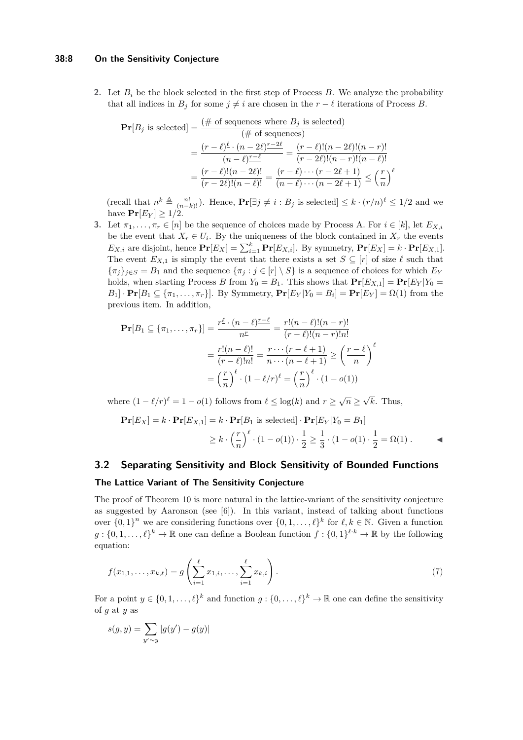#### **38:8 On the Sensitivity Conjecture**

**2.** Let  $B_i$  be the block selected in the first step of Process  $B$ . We analyze the probability that all indices in  $B_j$  for some  $j \neq i$  are chosen in the  $r - \ell$  iterations of Process *B*.

$$
\begin{aligned} \mathbf{Pr}[B_j \text{ is selected}] &= \frac{(\# \text{ of sequences where } B_j \text{ is selected})}{(\# \text{ of sequences})} \\ &= \frac{(r - \ell)^{\underline{\ell}} \cdot (n - 2\ell)^{\underline{r - 2\ell}}}{(n - \ell)^{\underline{r - \ell}}} = \frac{(r - \ell)!(n - 2\ell)!(n - r)!}{(r - 2\ell)!(n - r)!(n - \ell)!} \\ &= \frac{(r - \ell)!(n - 2\ell)!}{(r - 2\ell)!(n - \ell)!} = \frac{(r - \ell) \cdots (r - 2\ell + 1)}{(n - \ell) \cdots (n - 2\ell + 1)} \le \left(\frac{r}{n}\right)^{\ell} \end{aligned}
$$

 $(\text{recall that } n^{\underline{k}} \triangleq \frac{n!}{(n-k)!})$ . Hence,  $\mathbf{Pr}[\exists j \neq i : B_j \text{ is selected}] \leq k \cdot (r/n)^{\ell} \leq 1/2$  and we have  $Pr[E_Y] \geq 1/2$ .

**3.** Let  $\pi_1, \ldots, \pi_r \in [n]$  be the sequence of choices made by Process A. For  $i \in [k]$ , let  $E_{X,i}$ be the event that  $X_r \in U_i$ . By the uniqueness of the block contained in  $X_r$  the events  $E_{X,i}$  are disjoint, hence  $\mathbf{Pr}[E_X] = \sum_{i=1}^k \mathbf{Pr}[E_{X,i}]$ . By symmetry,  $\mathbf{Pr}[E_X] = k \cdot \mathbf{Pr}[E_{X,1}]$ . The event  $E_{X,1}$  is simply the event that there exists a set  $S \subseteq [r]$  of size  $\ell$  such that  ${\pi_j}_{j \in S} = B_1$  and the sequence  ${\pi_j : j \in [r] \setminus S}$  is a sequence of choices for which  $E_Y$ holds, when starting Process *B* from  $Y_0 = B_1$ . This shows that  $\mathbf{Pr}[E_{X,1}] = \mathbf{Pr}[E_Y | Y_0 =$  $B_1$  ·  $Pr[B_1 \subseteq {\pi_1, ..., \pi_r}]$ . By Symmetry,  $Pr[E_Y|Y_0 = B_i] = Pr[E_Y] = \Omega(1)$  from the previous item. In addition,

$$
\mathbf{Pr}[B_1 \subseteq \{\pi_1, \dots, \pi_r\}] = \frac{r^{\underline{\ell}} \cdot (n - \ell) \frac{r - \ell}{n}}{n^{\underline{r}}} = \frac{r!(n - \ell)!(n - r)!}{(r - \ell)!(n - r)!n!}
$$

$$
= \frac{r!(n - \ell)!}{(r - \ell)!n!} = \frac{r \cdots (r - \ell + 1)}{n \cdots (n - \ell + 1)} \ge \left(\frac{r - \ell}{n}\right)^{\ell}
$$

$$
= \left(\frac{r}{n}\right)^{\ell} \cdot (1 - \ell/r)^{\ell} = \left(\frac{r}{n}\right)^{\ell} \cdot (1 - o(1))
$$

where  $(1 - \ell/r)^{\ell} = 1 - o(1)$  follows from  $\ell \leq \log(k)$  and  $r \geq \sqrt{n} \geq$ √ *k*. Thus,

$$
\mathbf{Pr}[E_X] = k \cdot \mathbf{Pr}[E_{X,1}] = k \cdot \mathbf{Pr}[B_1 \text{ is selected}] \cdot \mathbf{Pr}[E_Y|Y_0 = B_1]
$$
  
 
$$
\geq k \cdot \left(\frac{r}{n}\right)^{\ell} \cdot (1 - o(1)) \cdot \frac{1}{2} \geq \frac{1}{3} \cdot (1 - o(1) \cdot \frac{1}{2} = \Omega(1).
$$

# **3.2 Separating Sensitivity and Block Sensitivity of Bounded Functions**

## **The Lattice Variant of The Sensitivity Conjecture**

The proof of Theorem [10](#page-4-2) is more natural in the lattice-variant of the sensitivity conjecture as suggested by Aaronson (see  $[6]$ ). In this variant, instead of talking about functions over  $\{0,1\}^n$  we are considering functions over  $\{0,1,\ldots,\ell\}^k$  for  $\ell, k \in \mathbb{N}$ . Given a function  $g: \{0, 1, \ldots, \ell\}^k \to \mathbb{R}$  one can define a Boolean function  $f: \{0, 1\}^{\ell \cdot k} \to \mathbb{R}$  by the following equation:

<span id="page-7-0"></span>
$$
f(x_{1,1},\ldots,x_{k,\ell}) = g\left(\sum_{i=1}^{\ell} x_{1,i},\ldots,\sum_{i=1}^{\ell} x_{k,i}\right).
$$
 (7)

For a point  $y \in \{0, 1, \ldots, \ell\}^k$  and function  $g: \{0, \ldots, \ell\}^k \to \mathbb{R}$  one can define the sensitivity of *g* at *y* as

$$
s(g, y) = \sum_{y' \sim y} |g(y') - g(y)|
$$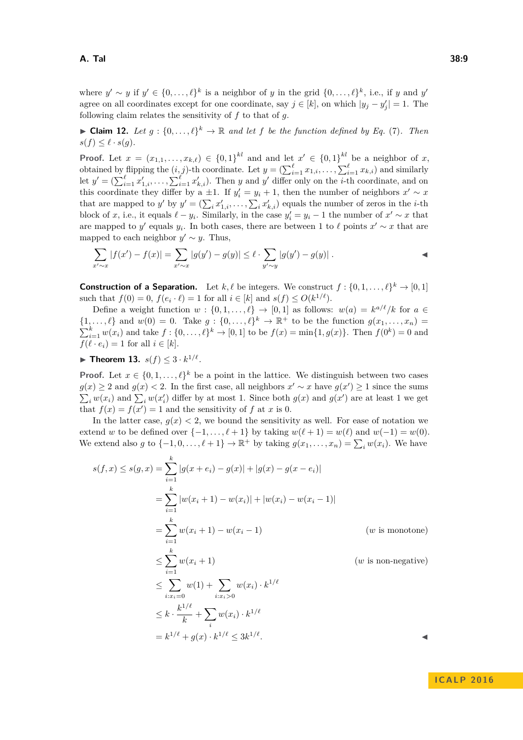where  $y' \sim y$  if  $y' \in \{0, \ldots, \ell\}^k$  is a neighbor of *y* in the grid  $\{0, \ldots, \ell\}^k$ , i.e., if *y* and *y*' agree on all coordinates except for one coordinate, say  $j \in [k]$ , on which  $|y_j - y'_j| = 1$ . The following claim relates the sensitivity of *f* to that of *g*.

<span id="page-8-1"></span>▶ **Claim 12.** *Let*  $g$  :  $\{0, \ldots, \ell\}^k \to \mathbb{R}$  *and let*  $f$  *be the function defined by Eq.* [\(7\)](#page-7-0)*. Then*  $s(f) \leq \ell \cdot s(q)$ .

**Proof.** Let  $x = (x_{1,1},...,x_{k,\ell}) \in \{0,1\}^{kl}$  and and let  $x' \in \{0,1\}^{kl}$  be a neighbor of *x*, obtained by flipping the  $(i, j)$ -th coordinate. Let  $y = \left(\sum_{i=1}^{\ell} x_{1,i}, \ldots, \sum_{i=1}^{\ell} x_{k,i}\right)$  and similarly let  $y' = \left(\sum_{i=1}^{\ell} x'_{1,i}, \ldots, \sum_{i=1}^{\ell} x'_{k,i}\right)$ . Then *y* and *y*' differ only on the *i*-th coordinate, and on this coordinate they differ by a  $\pm 1$ . If  $y_i' = y_i + 1$ , then the number of neighbors  $x' \sim x$ that are mapped to *y'* by  $y' = (\sum_i x'_{1,i}, \dots, \sum_i x'_{k,i})$  equals the number of zeros in the *i*-th block of *x*, i.e., it equals  $\ell - y_i$ . Similarly, in the case  $y'_i = y_i - 1$  the number of  $x' \sim x$  that are mapped to *y*<sup> $\prime$ </sup> equals *y<sub>i</sub>*. In both cases, there are between 1 to  $\ell$  points  $x' \sim x$  that are mapped to each neighbor  $y' \sim y$ . Thus,

$$
\sum_{x' \sim x} |f(x') - f(x)| = \sum_{x' \sim x} |g(y') - g(y)| \le \ell \cdot \sum_{y' \sim y} |g(y') - g(y)|.
$$

**Construction of a Separation.** Let  $k, \ell$  be integers. We construct  $f : \{0, 1, \ldots, \ell\}^k \to [0, 1]$ such that  $f(0) = 0$ ,  $f(e_i \cdot \ell) = 1$  for all  $i \in [k]$  and  $s(f) \le O(k^{1/\ell})$ .

Define a weight function  $w : \{0, 1, \ldots, \ell\} \to [0, 1]$  as follows:  $w(a) = k^{a/\ell}/k$  for  $a \in$  $\{1,\ldots,\ell\}$  and  $w(0) = 0$ . Take  $g: \{0,\ldots,\ell\}^k \to \mathbb{R}^+$  to be the function  $g(x_1,\ldots,x_n) =$  $\sum_{i=1}^{k} w(x_i)$  and take  $f: \{0, ..., \ell\}^k \to [0, 1]$  to be  $f(x) = \min\{1, g(x)\}$ . Then  $f(0^k) = 0$  and  $f(\ell \cdot e_i) = 1$  for all  $i \in [k]$ .

<span id="page-8-0"></span>▶ Theorem 13.  $s(f)$   $\leq 3 \cdot k^{1/\ell}$ .

**Proof.** Let  $x \in \{0, 1, \ldots, \ell\}^k$  be a point in the lattice. We distinguish between two cases *g*(*x*) ≥ 2 and *g*(*x*) < 2. In the first case, all neighbors  $x' \sim x$  have  $g(x') \ge 1$  since the sums  $\sum_i w(x_i)$  and  $\sum_i w(x'_i)$  differ by at most 1. Since both  $g(x)$  and  $g(x')$  are at least 1 we get that  $f(x) = f(x') = 1$  and the sensitivity of f at x is 0.

In the latter case,  $g(x) < 2$ , we bound the sensitivity as well. For ease of notation we extend *w* to be defined over  $\{-1, \ldots, \ell + 1\}$  by taking  $w(\ell + 1) = w(\ell)$  and  $w(-1) = w(0)$ . We extend also *g* to  $\{-1, 0, \ldots, \ell + 1\} \to \mathbb{R}^+$  by taking  $g(x_1, \ldots, x_n) = \sum_i w(x_i)$ . We have

$$
s(f, x) \leq s(g, x) = \sum_{i=1}^{k} |g(x + e_i) - g(x)| + |g(x) - g(x - e_i)|
$$
  
\n
$$
= \sum_{i=1}^{k} |w(x_i + 1) - w(x_i)| + |w(x_i) - w(x_i - 1)|
$$
  
\n
$$
= \sum_{i=1}^{k} w(x_i + 1) - w(x_i - 1)
$$
 (*w* is monotone)  
\n
$$
\leq \sum_{i=1}^{k} w(x_i + 1)
$$
 (*w* is non-negative)  
\n
$$
\leq \sum_{i:x_i=0}^{k} w(1) + \sum_{i:x_i>0} w(x_i) \cdot k^{1/\ell}
$$
  
\n
$$
\leq k \cdot \frac{k^{1/\ell}}{k} + \sum_{i} w(x_i) \cdot k^{1/\ell}
$$
  
\n
$$
= k^{1/\ell} + g(x) \cdot k^{1/\ell} \leq 3k^{1/\ell}.
$$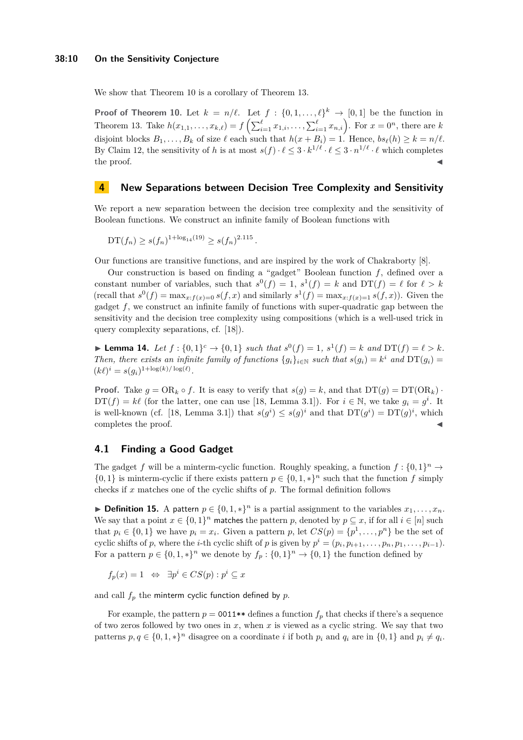We show that Theorem [10](#page-4-2) is a corollary of Theorem [13.](#page-8-0)

**Proof of Theorem [10.](#page-4-2)** Let  $k = n/\ell$ . Let  $f: \{0, 1, ..., \ell\}^k \to [0, 1]$  be the function in Theorem [13.](#page-8-0) Take  $h(x_{1,1},\ldots,x_{k,\ell})=f\left(\sum_{i=1}^{\ell}x_{1,i},\ldots,\sum_{i=1}^{\ell}x_{n,i}\right)$ . For  $x=0^n$ , there are k disjoint blocks  $B_1, \ldots, B_k$  of size  $\ell$  each such that  $h(x + B_i) = 1$ . Hence,  $bs_{\ell}(h) \geq k = n/\ell$ . By Claim [12,](#page-8-1) the sensitivity of *h* is at most  $s(f) \cdot \ell \leq 3 \cdot k^{1/\ell} \cdot \ell \leq 3 \cdot n^{1/\ell} \cdot \ell$  which completes  $\blacksquare$  the proof.

## <span id="page-9-0"></span>**4 New Separations between Decision Tree Complexity and Sensitivity**

We report a new separation between the decision tree complexity and the sensitivity of Boolean functions. We construct an infinite family of Boolean functions with

$$
\mathrm{DT}(f_n) \ge s(f_n)^{1+\log_{14}(19)} \ge s(f_n)^{2.115}.
$$

Our functions are transitive functions, and are inspired by the work of Chakraborty [\[8\]](#page-11-4).

Our construction is based on finding a "gadget" Boolean function *f*, defined over a constant number of variables, such that  $s^0(f) = 1$ ,  $s^1(f) = k$  and  $DT(f) = \ell$  for  $\ell > k$ (recall that  $s^0(f) = \max_{x:f(x)=0} s(f,x)$  and similarly  $s^1(f) = \max_{x:f(x)=1} s(f,x)$ ). Given the gadget *f*, we construct an infinite family of functions with super-quadratic gap between the sensitivity and the decision tree complexity using compositions (which is a well-used trick in query complexity separations, cf. [\[18\]](#page-11-19)).

<span id="page-9-1"></span>▶ **Lemma 14.** *Let*  $f$  : {0,1}<sup>*c*</sup>  $\rightarrow$  {0,1} *such that*  $s^0(f) = 1$ ,  $s^1(f) = k$  *and*  $DT(f) = \ell > k$ *. Then, there exists an infinite family of functions*  ${g_i}_{i \in \mathbb{N}}$  *such that*  $s(g_i) = k^i$  *and*  $DT(g_i) =$  $(k\ell)^i = s(g_i)^{1 + \log(k) / \log(\ell)}.$ 

**Proof.** Take  $g = \text{OR}_k \circ f$ . It is easy to verify that  $s(g) = k$ , and that  $DT(g) = DT(\text{OR}_k)$ .  $DT(f) = k\ell$  (for the latter, one can use [\[18,](#page-11-19) Lemma 3.1]). For  $i \in \mathbb{N}$ , we take  $g_i = g^i$ . It is well-known (cf. [\[18,](#page-11-19) Lemma 3.1]) that  $s(g^i) \leq s(g)^i$  and that  $DT(g^i) = DT(g)^i$ , which completes the proof.

## **4.1 Finding a Good Gadget**

The gadget *f* will be a minterm-cyclic function. Roughly speaking, a function  $f: \{0,1\}^n \to$  $\{0,1\}$  is minterm-cyclic if there exists pattern  $p \in \{0,1,*\}^n$  such that the function f simply checks if *x* matches one of the cyclic shifts of *p*. The formal definition follows

**► Definition 15.** A pattern  $p \in \{0, 1, *\}$ <sup>*n*</sup> is a partial assignment to the variables  $x_1, \ldots, x_n$ . We say that a point  $x \in \{0,1\}^n$  matches the pattern *p*, denoted by  $p \subseteq x$ , if for all  $i \in [n]$  such that  $p_i \in \{0, 1\}$  we have  $p_i = x_i$ . Given a pattern  $p$ , let  $CS(p) = \{p^1, \ldots, p^n\}$  be the set of cyclic shifts of *p*, where the *i*-th cyclic shift of *p* is given by  $p^i = (p_i, p_{i+1}, \ldots, p_n, p_1, \ldots, p_{i-1})$ . For a pattern  $p \in \{0, 1, *\}^n$  we denote by  $f_p : \{0, 1\}^n \to \{0, 1\}$  the function defined by

$$
f_p(x) = 1 \iff \exists p^i \in CS(p) : p^i \subseteq x
$$

and call *f<sup>p</sup>* the minterm cyclic function defined by *p*.

For example, the pattern  $p = 0011**$  defines a function  $f_p$  that checks if there's a sequence of two zeros followed by two ones in *x*, when *x* is viewed as a cyclic string. We say that two patterns  $p, q \in \{0, 1, *\}$ <sup>n</sup> disagree on a coordinate *i* if both  $p_i$  and  $q_i$  are in  $\{0, 1\}$  and  $p_i \neq q_i$ .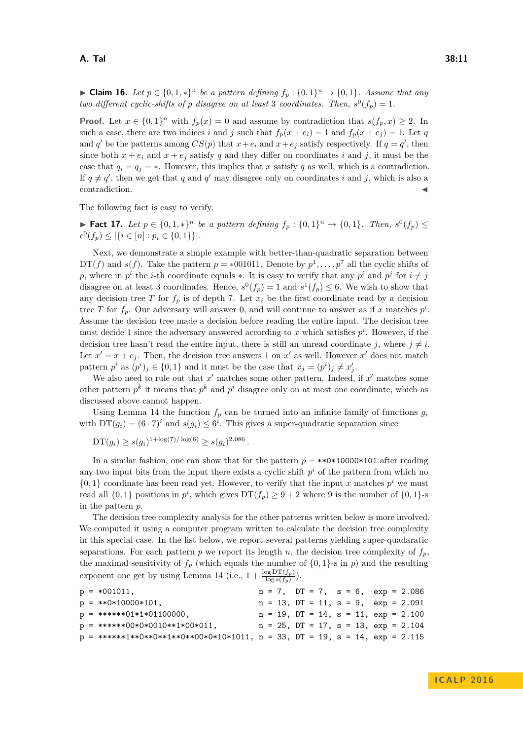#### **A. Tal 38:11**

▶ **Claim 16.** *Let*  $p \in \{0, 1, *\}$ <sup>*n*</sup> *be a pattern defining*  $f_p : \{0, 1\}$ <sup>*n*</sup> →  $\{0, 1\}$ *. Assume that any two different cyclic-shifts of p disagree on at least* 3 *coordinates. Then,*  $s^0(f_p) = 1$ *.* 

**Proof.** Let  $x \in \{0,1\}^n$  with  $f_p(x) = 0$  and assume by contradiction that  $s(f_p, x) \geq 2$ . In such a case, there are two indices *i* and *j* such that  $f_p(x + e_i) = 1$  and  $f_p(x + e_i) = 1$ . Let *q* and *q*' be the patterns among  $CS(p)$  that  $x + e_i$  and  $x + e_j$  satisfy respectively. If  $q = q'$ , then since both  $x + e_i$  and  $x + e_j$  satisfy q and they differ on coordinates *i* and *j*, it must be the case that  $q_i = q_j = *$ . However, this implies that *x* satisfy *q* as well, which is a contradiction. If  $q \neq q'$ , then we get that *q* and *q*' may disagree only on coordinates *i* and *j*, which is also a contradiction.

The following fact is easy to verify.

► **Fact 17.** Let  $p \in \{0,1,*\}^n$  be a pattern defining  $f_p : \{0,1\}^n \to \{0,1\}$ . Then,  $s^0(f_p)$  ≤  $c^0(f_p) \leq |\{i \in [n] : p_i \in \{0, 1\}\}|.$ 

Next, we demonstrate a simple example with better-than-quadratic separation between DT(*f*) and *s*(*f*). Take the pattern  $p = *001011$ . Denote by  $p^1, \ldots, p^7$  all the cyclic shifts of *p*, where in  $p^i$  the *i*-th coordinate equals  $*$ . It is easy to verify that any  $p^i$  and  $p^j$  for  $i \neq j$ disagree on at least 3 coordinates. Hence,  $s^0(f_p) = 1$  and  $s^1(f_p) \leq 6$ . We wish to show that any decision tree *T* for  $f_p$  is of depth 7. Let  $x_i$  be the first coordinate read by a decision tree *T* for  $f_p$ . Our adversary will answer 0, and will continue to answer as if *x* matches  $p^i$ . Assume the decision tree made a decision before reading the entire input. The decision tree must decide 1 since the adversary answered according to x which satisfies  $p^i$ . However, if the decision tree hasn't read the entire input, there is still an unread coordinate *j*, where  $j \neq i$ . Let  $x' = x + e_j$ . Then, the decision tree answers 1 on  $x'$  as well. However  $x'$  does not match pattern  $p^i$  as  $(p^i)_j \in \{0, 1\}$  and it must be the case that  $x_j = (p^i)_j \neq x'_j$ .

We also need to rule out that  $x'$  matches some other pattern. Indeed, if  $x'$  matches some other pattern  $p^k$  it means that  $p^k$  and  $p^i$  disagree only on at most one coordinate, which as discussed above cannot happen.

Using Lemma [14](#page-9-1) the function  $f_p$  can be turned into an infinite family of functions  $g_i$ with  $DT(g_i) = (6 \cdot 7)^i$  and  $s(g_i) \leq 6^i$ . This gives a super-quadratic separation since

 $DT(g_i) \geq s(g_i)^{1 + \log(7) / \log(6)} \geq s(g_i)^{2.086}$ .

In a similar fashion, one can show that for the pattern  $p = **0*10000*101$  after reading any two input bits from the input there exists a cyclic shift  $p<sup>i</sup>$  of the pattern from which no  $\{0,1\}$  coordinate has been read yet. However, to verify that the input *x* matches  $p^i$  we must read all  $\{0,1\}$  positions in  $p^i$ , which gives  $DT(f_p) \geq 9 + 2$  where 9 is the number of  $\{0,1\}$ -s in the pattern *p*.

The decision tree complexity analysis for the other patterns written below is more involved. We computed it using a computer program written to calculate the decision tree complexity in this special case. In the list below, we report several patterns yielding super-quadaratic separations. For each pattern *p* we report its length *n*, the decision tree complexity of  $f_p$ , the maximal sensitivity of  $f_p$  (which equals the number of  $\{0,1\}$ -s in  $p$ ) and the resulting exponent one get by using Lemma [14](#page-9-1) (i.e.,  $1 + \frac{\log \mathrm{DT}(f_p)}{\log s(f_p)}$ ).

|  | $p = *001011,$                                                                       |  |  |  |  |  | $n = 7$ , $DT = 7$ , $s = 6$ , $exp = 2.086$    |
|--|--------------------------------------------------------------------------------------|--|--|--|--|--|-------------------------------------------------|
|  | $p = **0*10000*101,$                                                                 |  |  |  |  |  | $n = 13$ , $DT = 11$ , $s = 9$ , $exp = 2.091$  |
|  | $p = ******01*1*01100000,$                                                           |  |  |  |  |  | $n = 19$ , $DT = 14$ , $s = 11$ , $exp = 2.100$ |
|  | $p = ******00*0*0010**1*00*011,$                                                     |  |  |  |  |  | $n = 25$ , $DT = 17$ , $s = 13$ , $exp = 2.104$ |
|  | $p = ******+1**0**0**1**0**0**00*0*10*10*1011, n = 33, DT = 19, s = 14, exp = 2.115$ |  |  |  |  |  |                                                 |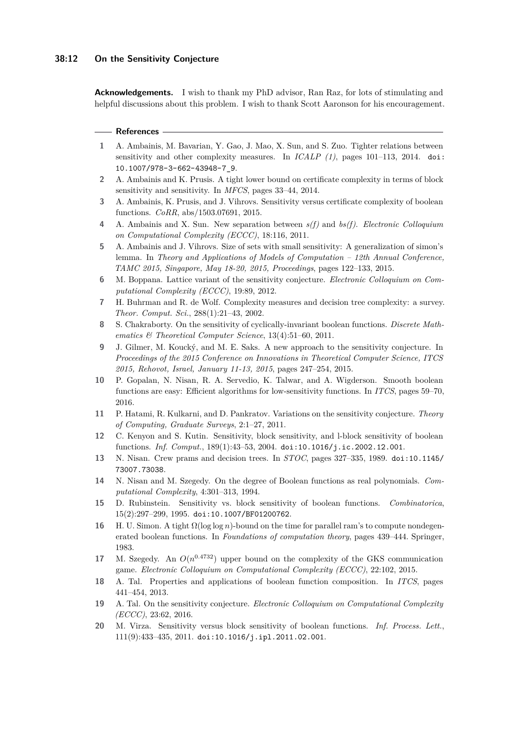#### **38:12 On the Sensitivity Conjecture**

**Acknowledgements.** I wish to thank my PhD advisor, Ran Raz, for lots of stimulating and helpful discussions about this problem. I wish to thank Scott Aaronson for his encouragement.

#### **References**

- <span id="page-11-9"></span>**1** A. Ambainis, M. Bavarian, Y. Gao, J. Mao, X. Sun, and S. Zuo. Tighter relations between sensitivity and other complexity measures. In *ICALP (1)*, pages 101–113, 2014. [doi:](http://dx.doi.org/10.1007/978-3-662-43948-7_9) [10.1007/978-3-662-43948-7\\_9](http://dx.doi.org/10.1007/978-3-662-43948-7_9).
- <span id="page-11-10"></span>**2** A. Ambainis and K. Prusis. A tight lower bound on certificate complexity in terms of block sensitivity and sensitivity. In *MFCS*, pages 33–44, 2014.
- <span id="page-11-12"></span>**3** A. Ambainis, K. Prusis, and J. Vihrovs. Sensitivity versus certificate complexity of boolean functions. *CoRR*, abs/1503.07691, 2015.
- <span id="page-11-6"></span>**4** A. Ambainis and X. Sun. New separation between *s(f)* and *bs(f)*. *Electronic Colloquium on Computational Complexity (ECCC)*, 18:116, 2011.
- <span id="page-11-11"></span>**5** A. Ambainis and J. Vihrovs. Size of sets with small sensitivity: A generalization of simon's lemma. In *Theory and Applications of Models of Computation – 12th Annual Conference, TAMC 2015, Singapore, May 18-20, 2015, Proceedings*, pages 122–133, 2015.
- <span id="page-11-8"></span>**6** M. Boppana. Lattice variant of the sensitivity conjecture. *Electronic Colloquium on Computational Complexity (ECCC)*, 19:89, 2012.
- <span id="page-11-17"></span>**7** H. Buhrman and R. de Wolf. Complexity measures and decision tree complexity: a survey. *Theor. Comput. Sci.*, 288(1):21–43, 2002.
- <span id="page-11-4"></span>**8** S. Chakraborty. On the sensitivity of cyclically-invariant boolean functions. *Discrete Mathematics & Theoretical Computer Science*, 13(4):51–60, 2011.
- <span id="page-11-13"></span>**9** J. Gilmer, M. Koucký, and M. E. Saks. A new approach to the sensitivity conjecture. In *Proceedings of the 2015 Conference on Innovations in Theoretical Computer Science, ITCS 2015, Rehovot, Israel, January 11-13, 2015*, pages 247–254, 2015.
- <span id="page-11-15"></span>**10** P. Gopalan, N. Nisan, R. A. Servedio, K. Talwar, and A. Wigderson. Smooth boolean functions are easy: Efficient algorithms for low-sensitivity functions. In *ITCS*, pages 59–70, 2016.
- <span id="page-11-7"></span>**11** P. Hatami, R. Kulkarni, and D. Pankratov. Variations on the sensitivity conjecture. *Theory of Computing, Graduate Surveys*, 2:1–27, 2011.
- <span id="page-11-3"></span>**12** C. Kenyon and S. Kutin. Sensitivity, block sensitivity, and l-block sensitivity of boolean functions. *Inf. Comput.*, 189(1):43–53, 2004. [doi:10.1016/j.ic.2002.12.001](http://dx.doi.org/10.1016/j.ic.2002.12.001).
- <span id="page-11-1"></span>**13** N. Nisan. Crew prams and decision trees. In *STOC*, pages 327–335, 1989. [doi:10.1145/](http://dx.doi.org/10.1145/73007.73038) [73007.73038](http://dx.doi.org/10.1145/73007.73038).
- <span id="page-11-0"></span>**14** N. Nisan and M. Szegedy. On the degree of Boolean functions as real polynomials. *Computational Complexity*, 4:301–313, 1994.
- <span id="page-11-2"></span>**15** D. Rubinstein. Sensitivity vs. block sensitivity of boolean functions. *Combinatorica*, 15(2):297–299, 1995. [doi:10.1007/BF01200762](http://dx.doi.org/10.1007/BF01200762).
- <span id="page-11-16"></span>**16** H. U. Simon. A tight  $\Omega(\log \log n)$ -bound on the time for parallel ram's to compute nondegenerated boolean functions. In *Foundations of computation theory*, pages 439–444. Springer, 1983.
- <span id="page-11-14"></span>17 M. Szegedy. An  $O(n^{0.4732})$  upper bound on the complexity of the GKS communication game. *Electronic Colloquium on Computational Complexity (ECCC)*, 22:102, 2015.
- <span id="page-11-19"></span>**18** A. Tal. Properties and applications of boolean function composition. In *ITCS*, pages 441–454, 2013.
- <span id="page-11-18"></span>**19** A. Tal. On the sensitivity conjecture. *Electronic Colloquium on Computational Complexity (ECCC)*, 23:62, 2016.
- <span id="page-11-5"></span>**20** M. Virza. Sensitivity versus block sensitivity of boolean functions. *Inf. Process. Lett.*, 111(9):433–435, 2011. [doi:10.1016/j.ipl.2011.02.001](http://dx.doi.org/10.1016/j.ipl.2011.02.001).